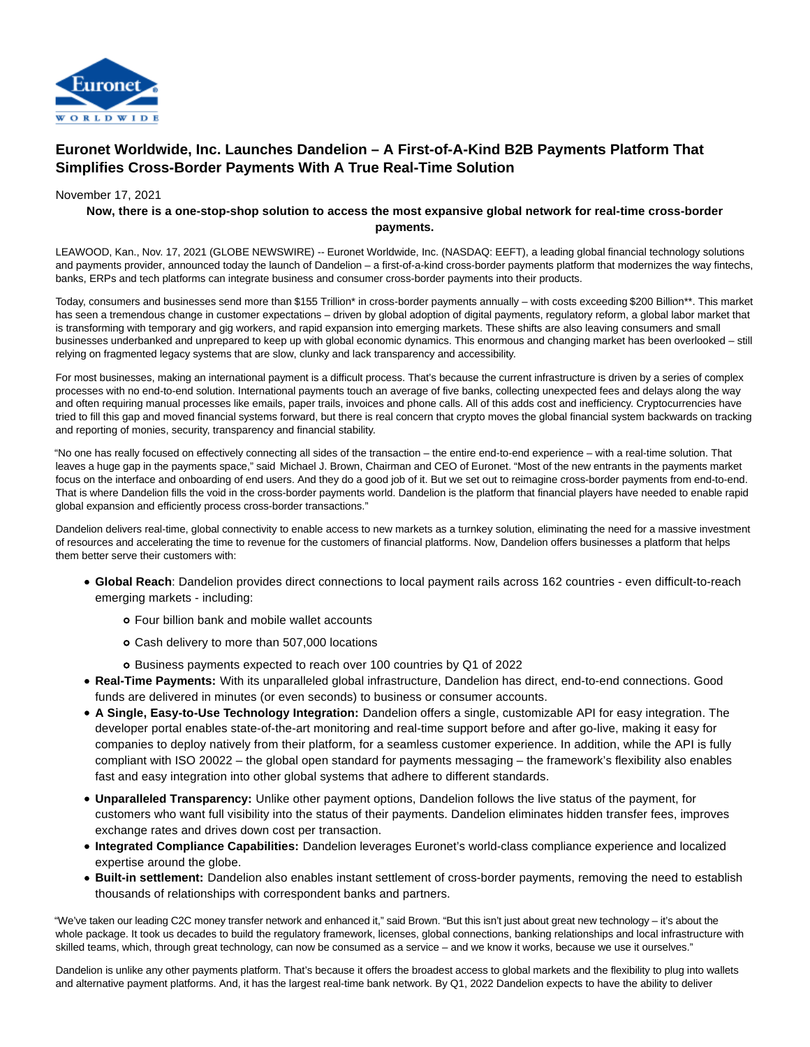

# **Euronet Worldwide, Inc. Launches Dandelion – A First-of-A-Kind B2B Payments Platform That Simplifies Cross-Border Payments With A True Real-Time Solution**

### November 17, 2021

## **Now, there is a one-stop-shop solution to access the most expansive global network for real-time cross-border payments.**

LEAWOOD, Kan., Nov. 17, 2021 (GLOBE NEWSWIRE) -- Euronet Worldwide, Inc. (NASDAQ: EEFT), a leading global financial technology solutions and payments provider, announced today the launch of Dandelion – a first-of-a-kind cross-border payments platform that modernizes the way fintechs, banks, ERPs and tech platforms can integrate business and consumer cross-border payments into their products.

Today, consumers and businesses send more than \$155 Trillion\* in cross-border payments annually – with costs exceeding \$200 Billion\*\*. This market has seen a tremendous change in customer expectations – driven by global adoption of digital payments, regulatory reform, a global labor market that is transforming with temporary and gig workers, and rapid expansion into emerging markets. These shifts are also leaving consumers and small businesses underbanked and unprepared to keep up with global economic dynamics. This enormous and changing market has been overlooked – still relying on fragmented legacy systems that are slow, clunky and lack transparency and accessibility.

For most businesses, making an international payment is a difficult process. That's because the current infrastructure is driven by a series of complex processes with no end-to-end solution. International payments touch an average of five banks, collecting unexpected fees and delays along the way and often requiring manual processes like emails, paper trails, invoices and phone calls. All of this adds cost and inefficiency. Cryptocurrencies have tried to fill this gap and moved financial systems forward, but there is real concern that crypto moves the global financial system backwards on tracking and reporting of monies, security, transparency and financial stability.

"No one has really focused on effectively connecting all sides of the transaction – the entire end-to-end experience – with a real-time solution. That leaves a huge gap in the payments space," said Michael J. Brown, Chairman and CEO of Euronet. "Most of the new entrants in the payments market focus on the interface and onboarding of end users. And they do a good job of it. But we set out to reimagine cross-border payments from end-to-end. That is where Dandelion fills the void in the cross-border payments world. Dandelion is the platform that financial players have needed to enable rapid global expansion and efficiently process cross-border transactions."

Dandelion delivers real-time, global connectivity to enable access to new markets as a turnkey solution, eliminating the need for a massive investment of resources and accelerating the time to revenue for the customers of financial platforms. Now, Dandelion offers businesses a platform that helps them better serve their customers with:

- **Global Reach**: Dandelion provides direct connections to local payment rails across 162 countries even difficult-to-reach emerging markets - including:
	- Four billion bank and mobile wallet accounts
	- Cash delivery to more than 507,000 locations
	- Business payments expected to reach over 100 countries by Q1 of 2022
- **Real-Time Payments:** With its unparalleled global infrastructure, Dandelion has direct, end-to-end connections. Good funds are delivered in minutes (or even seconds) to business or consumer accounts.
- **A Single, Easy-to-Use Technology Integration:** Dandelion offers a single, customizable API for easy integration. The developer portal enables state-of-the-art monitoring and real-time support before and after go-live, making it easy for companies to deploy natively from their platform, for a seamless customer experience. In addition, while the API is fully compliant with ISO 20022 – the global open standard for payments messaging – the framework's flexibility also enables fast and easy integration into other global systems that adhere to different standards.
- **Unparalleled Transparency:** Unlike other payment options, Dandelion follows the live status of the payment, for customers who want full visibility into the status of their payments. Dandelion eliminates hidden transfer fees, improves exchange rates and drives down cost per transaction.
- **Integrated Compliance Capabilities:** Dandelion leverages Euronet's world-class compliance experience and localized expertise around the globe.
- **Built-in settlement:** Dandelion also enables instant settlement of cross-border payments, removing the need to establish thousands of relationships with correspondent banks and partners.

"We've taken our leading C2C money transfer network and enhanced it," said Brown. "But this isn't just about great new technology – it's about the whole package. It took us decades to build the regulatory framework, licenses, global connections, banking relationships and local infrastructure with skilled teams, which, through great technology, can now be consumed as a service – and we know it works, because we use it ourselves."

Dandelion is unlike any other payments platform. That's because it offers the broadest access to global markets and the flexibility to plug into wallets and alternative payment platforms. And, it has the largest real-time bank network. By Q1, 2022 Dandelion expects to have the ability to deliver